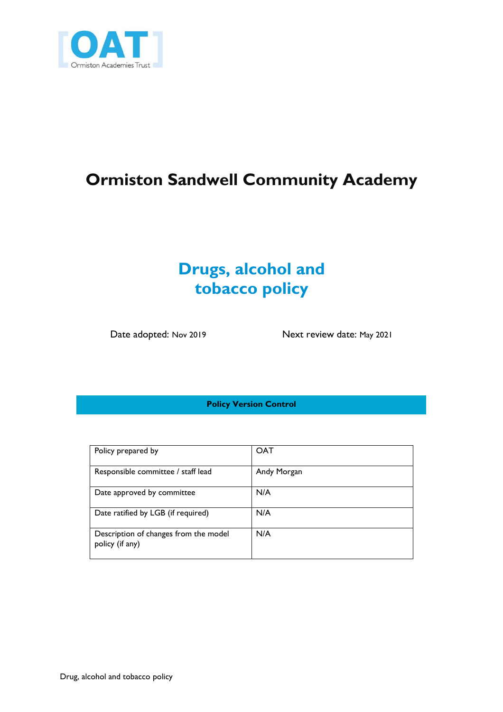

# **Ormiston Sandwell Community Academy**

### **Drugs, alcohol and tobacco policy**

Date adopted: Nov 2019 Next review date: May 2021

**Policy Version Control**

| Policy prepared by                                       | <b>OAT</b>  |
|----------------------------------------------------------|-------------|
| Responsible committee / staff lead                       | Andy Morgan |
| Date approved by committee                               | N/A         |
| Date ratified by LGB (if required)                       | N/A         |
| Description of changes from the model<br>policy (if any) | N/A         |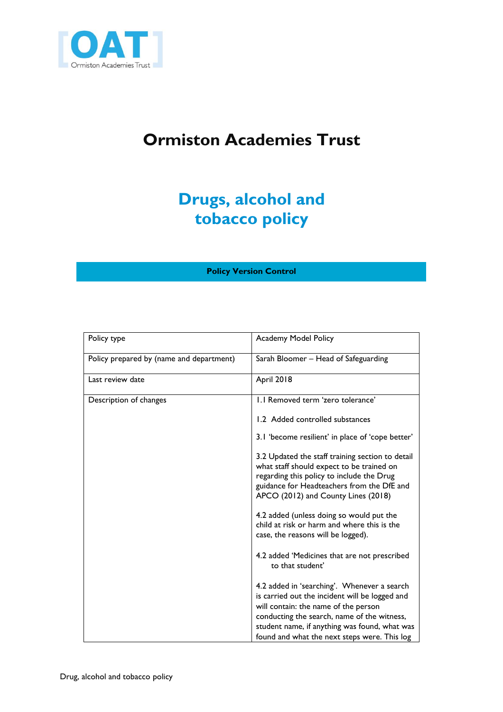

# **Ormiston Academies Trust**

# **Drugs, alcohol and tobacco policy**

### **Policy Version Control**

| Policy type                              | <b>Academy Model Policy</b>                                                                                                                                                                                                                                                           |
|------------------------------------------|---------------------------------------------------------------------------------------------------------------------------------------------------------------------------------------------------------------------------------------------------------------------------------------|
| Policy prepared by (name and department) | Sarah Bloomer – Head of Safeguarding                                                                                                                                                                                                                                                  |
| Last review date                         | <b>April 2018</b>                                                                                                                                                                                                                                                                     |
| Description of changes                   | 1.1 Removed term 'zero tolerance'                                                                                                                                                                                                                                                     |
|                                          | 1.2 Added controlled substances                                                                                                                                                                                                                                                       |
|                                          | 3.1 'become resilient' in place of 'cope better'                                                                                                                                                                                                                                      |
|                                          | 3.2 Updated the staff training section to detail<br>what staff should expect to be trained on<br>regarding this policy to include the Drug<br>guidance for Headteachers from the DfE and<br>APCO (2012) and County Lines (2018)                                                       |
|                                          | 4.2 added (unless doing so would put the<br>child at risk or harm and where this is the<br>case, the reasons will be logged).                                                                                                                                                         |
|                                          | 4.2 added 'Medicines that are not prescribed<br>to that student'                                                                                                                                                                                                                      |
|                                          | 4.2 added in 'searching'. Whenever a search<br>is carried out the incident will be logged and<br>will contain: the name of the person<br>conducting the search, name of the witness,<br>student name, if anything was found, what was<br>found and what the next steps were. This log |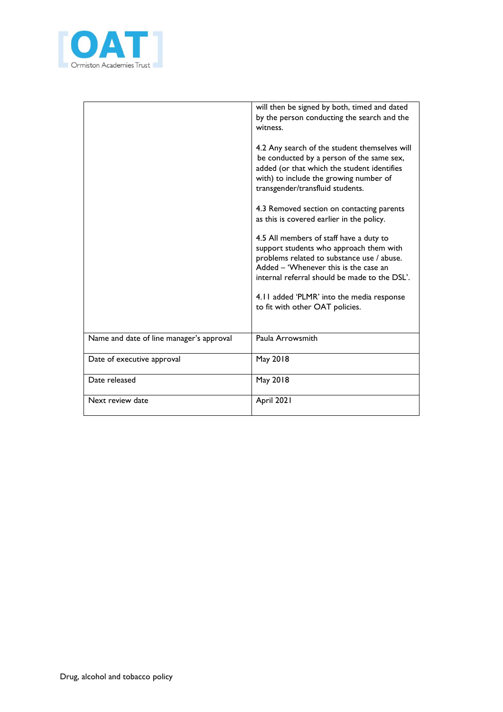

|                                          | will then be signed by both, timed and dated<br>by the person conducting the search and the<br>witness.                                                                                                                                                                 |
|------------------------------------------|-------------------------------------------------------------------------------------------------------------------------------------------------------------------------------------------------------------------------------------------------------------------------|
|                                          | 4.2 Any search of the student themselves will<br>be conducted by a person of the same sex,<br>added (or that which the student identifies<br>with) to include the growing number of<br>transgender/transfluid students.                                                 |
|                                          | 4.3 Removed section on contacting parents<br>as this is covered earlier in the policy.                                                                                                                                                                                  |
|                                          | 4.5 All members of staff have a duty to<br>support students who approach them with<br>problems related to substance use / abuse.<br>Added – 'Whenever this is the case an<br>internal referral should be made to the DSL'.<br>4.11 added 'PLMR' into the media response |
|                                          | to fit with other OAT policies.                                                                                                                                                                                                                                         |
| Name and date of line manager's approval | Paula Arrowsmith                                                                                                                                                                                                                                                        |
| Date of executive approval               | May 2018                                                                                                                                                                                                                                                                |
| Date released                            | May 2018                                                                                                                                                                                                                                                                |
| Next review date                         | April 2021                                                                                                                                                                                                                                                              |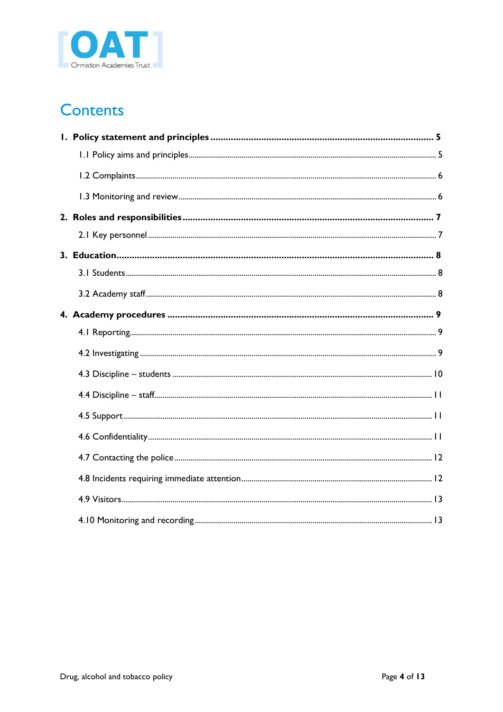

# **Contents**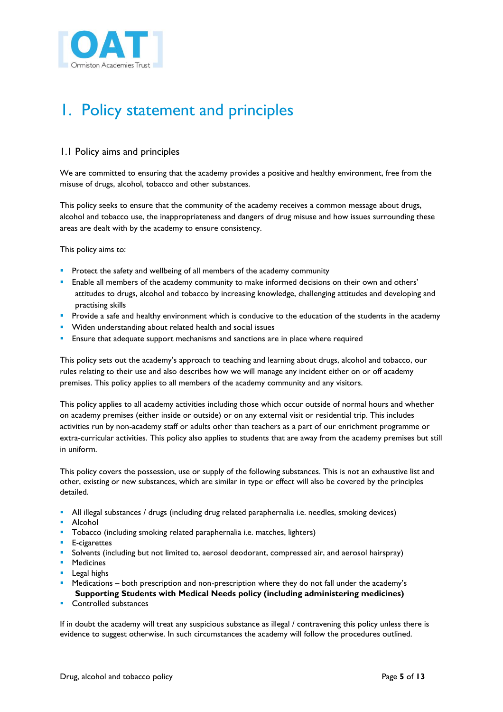

# <span id="page-4-0"></span>1. Policy statement and principles

### <span id="page-4-1"></span>1.1 Policy aims and principles

We are committed to ensuring that the academy provides a positive and healthy environment, free from the misuse of drugs, alcohol, tobacco and other substances.

This policy seeks to ensure that the community of the academy receives a common message about drugs, alcohol and tobacco use, the inappropriateness and dangers of drug misuse and how issues surrounding these areas are dealt with by the academy to ensure consistency.

This policy aims to:

- **Protect the safety and wellbeing of all members of the academy community**
- Enable all members of the academy community to make informed decisions on their own and others' attitudes to drugs, alcohol and tobacco by increasing knowledge, challenging attitudes and developing and practising skills
- **Provide a safe and healthy environment which is conducive to the education of the students in the academy**
- **Widen understanding about related health and social issues**
- Ensure that adequate support mechanisms and sanctions are in place where required

This policy sets out the academy's approach to teaching and learning about drugs, alcohol and tobacco, our rules relating to their use and also describes how we will manage any incident either on or off academy premises. This policy applies to all members of the academy community and any visitors.

This policy applies to all academy activities including those which occur outside of normal hours and whether on academy premises (either inside or outside) or on any external visit or residential trip. This includes activities run by non-academy staff or adults other than teachers as a part of our enrichment programme or extra-curricular activities. This policy also applies to students that are away from the academy premises but still in uniform.

This policy covers the possession, use or supply of the following substances. This is not an exhaustive list and other, existing or new substances, which are similar in type or effect will also be covered by the principles detailed.

- All illegal substances / drugs (including drug related paraphernalia i.e. needles, smoking devices)
- **Alcohol**
- **Tobacco (including smoking related paraphernalia i.e. matches, lighters)**
- **E-cigarettes**
- Solvents (including but not limited to, aerosol deodorant, compressed air, and aerosol hairspray)
- **Medicines**
- **Legal highs**
- Medications both prescription and non-prescription where they do not fall under the academy's **Supporting Students with Medical Needs policy (including administering medicines)**
- Controlled substances

If in doubt the academy will treat any suspicious substance as illegal / contravening this policy unless there is evidence to suggest otherwise. In such circumstances the academy will follow the procedures outlined.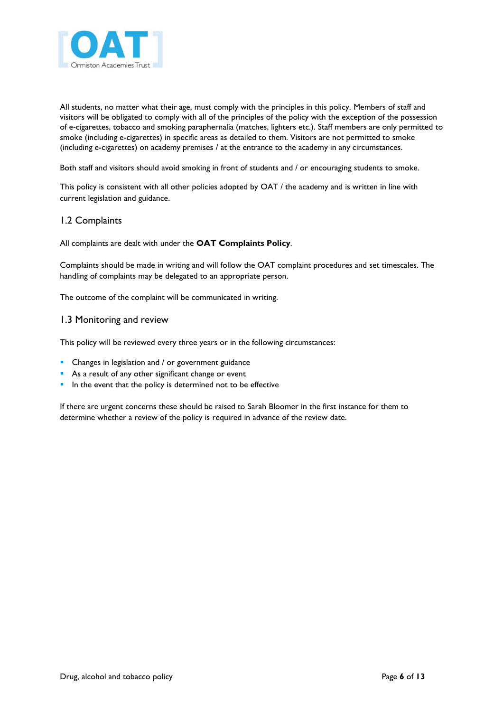

All students, no matter what their age, must comply with the principles in this policy. Members of staff and visitors will be obligated to comply with all of the principles of the policy with the exception of the possession of e-cigarettes, tobacco and smoking paraphernalia (matches, lighters etc.). Staff members are only permitted to smoke (including e-cigarettes) in specific areas as detailed to them. Visitors are not permitted to smoke (including e-cigarettes) on academy premises / at the entrance to the academy in any circumstances.

Both staff and visitors should avoid smoking in front of students and / or encouraging students to smoke.

This policy is consistent with all other policies adopted by OAT / the academy and is written in line with current legislation and guidance.

### <span id="page-5-0"></span>1.2 Complaints

All complaints are dealt with under the **OAT Complaints Policy**.

Complaints should be made in writing and will follow the OAT complaint procedures and set timescales. The handling of complaints may be delegated to an appropriate person.

The outcome of the complaint will be communicated in writing.

#### <span id="page-5-1"></span>1.3 Monitoring and review

This policy will be reviewed every three years or in the following circumstances:

- **•** Changes in legislation and / or government guidance
- **As a result of any other significant change or event**
- **In the event that the policy is determined not to be effective**

If there are urgent concerns these should be raised to Sarah Bloomer in the first instance for them to determine whether a review of the policy is required in advance of the review date.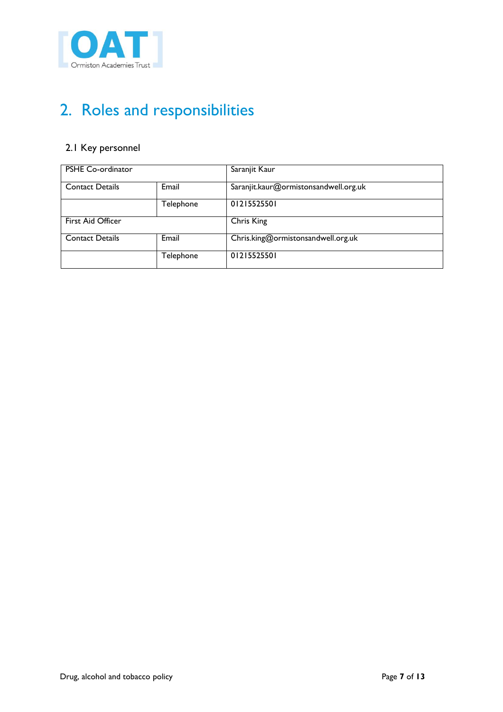

# <span id="page-6-0"></span>2. Roles and responsibilities

### <span id="page-6-1"></span>2.1 Key personnel

| PSHE Co-ordinator      |           | Saranjit Kaur                         |
|------------------------|-----------|---------------------------------------|
| <b>Contact Details</b> | Email     | Saranjit.kaur@ormistonsandwell.org.uk |
|                        | Telephone | 01215525501                           |
| First Aid Officer      |           | Chris King                            |
| <b>Contact Details</b> | Email     | Chris.king@ormistonsandwell.org.uk    |
|                        | Telephone | 01215525501                           |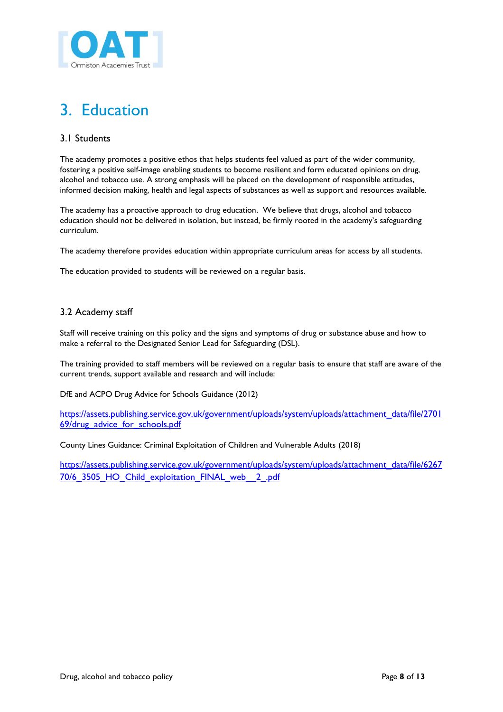

# <span id="page-7-0"></span>3. Education

### <span id="page-7-1"></span>3.1 Students

The academy promotes a positive ethos that helps students feel valued as part of the wider community, fostering a positive self-image enabling students to become resilient and form educated opinions on drug, alcohol and tobacco use. A strong emphasis will be placed on the development of responsible attitudes, informed decision making, health and legal aspects of substances as well as support and resources available.

The academy has a proactive approach to drug education. We believe that drugs, alcohol and tobacco education should not be delivered in isolation, but instead, be firmly rooted in the academy's safeguarding curriculum.

The academy therefore provides education within appropriate curriculum areas for access by all students.

The education provided to students will be reviewed on a regular basis.

### <span id="page-7-2"></span>3.2 Academy staff

Staff will receive training on this policy and the signs and symptoms of drug or substance abuse and how to make a referral to the Designated Senior Lead for Safeguarding (DSL).

The training provided to staff members will be reviewed on a regular basis to ensure that staff are aware of the current trends, support available and research and will include:

DfE and ACPO Drug Advice for Schools Guidance (2012)

[https://assets.publishing.service.gov.uk/government/uploads/system/uploads/attachment\\_data/file/2701](https://assets.publishing.service.gov.uk/government/uploads/system/uploads/attachment_data/file/270169/drug_advice_for_schools.pdf) [69/drug\\_advice\\_for\\_schools.pdf](https://assets.publishing.service.gov.uk/government/uploads/system/uploads/attachment_data/file/270169/drug_advice_for_schools.pdf)

County Lines Guidance: Criminal Exploitation of Children and Vulnerable Adults (2018)

[https://assets.publishing.service.gov.uk/government/uploads/system/uploads/attachment\\_data/file/6267](https://assets.publishing.service.gov.uk/government/uploads/system/uploads/attachment_data/file/626770/6_3505_HO_Child_exploitation_FINAL_web__2_.pdf) [70/6\\_3505\\_HO\\_Child\\_exploitation\\_FINAL\\_web\\_\\_2\\_.pdf](https://assets.publishing.service.gov.uk/government/uploads/system/uploads/attachment_data/file/626770/6_3505_HO_Child_exploitation_FINAL_web__2_.pdf)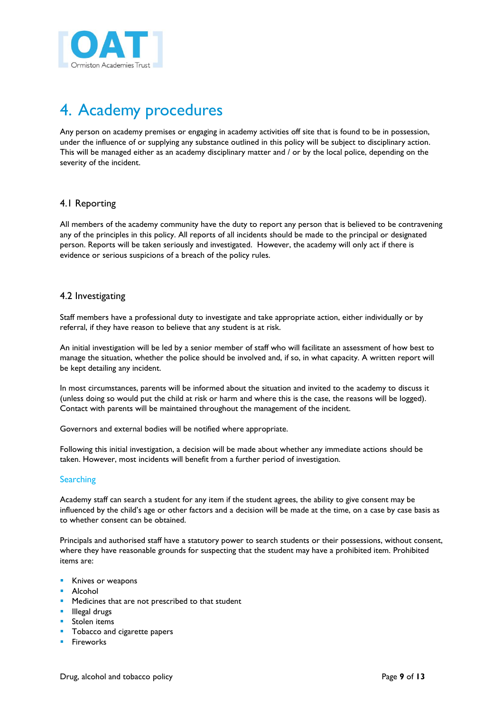

# <span id="page-8-0"></span>4. Academy procedures

Any person on academy premises or engaging in academy activities off site that is found to be in possession, under the influence of or supplying any substance outlined in this policy will be subject to disciplinary action. This will be managed either as an academy disciplinary matter and / or by the local police, depending on the severity of the incident.

### <span id="page-8-1"></span>4.1 Reporting

All members of the academy community have the duty to report any person that is believed to be contravening any of the principles in this policy. All reports of all incidents should be made to the principal or designated person. Reports will be taken seriously and investigated. However, the academy will only act if there is evidence or serious suspicions of a breach of the policy rules.

#### <span id="page-8-2"></span>4.2 Investigating

Staff members have a professional duty to investigate and take appropriate action, either individually or by referral, if they have reason to believe that any student is at risk.

An initial investigation will be led by a senior member of staff who will facilitate an assessment of how best to manage the situation, whether the police should be involved and, if so, in what capacity. A written report will be kept detailing any incident.

In most circumstances, parents will be informed about the situation and invited to the academy to discuss it (unless doing so would put the child at risk or harm and where this is the case, the reasons will be logged). Contact with parents will be maintained throughout the management of the incident.

Governors and external bodies will be notified where appropriate.

Following this initial investigation, a decision will be made about whether any immediate actions should be taken. However, most incidents will benefit from a further period of investigation.

#### **Searching**

Academy staff can search a student for any item if the student agrees, the ability to give consent may be influenced by the child's age or other factors and a decision will be made at the time, on a case by case basis as to whether consent can be obtained.

Principals and authorised staff have a statutory power to search students or their possessions, without consent, where they have reasonable grounds for suspecting that the student may have a prohibited item. Prohibited items are:

- **Knives or weapons**
- **Alcohol**
- **Medicines that are not prescribed to that student**
- Illegal drugs
- Stolen items
- Tobacco and cigarette papers
- **Fireworks**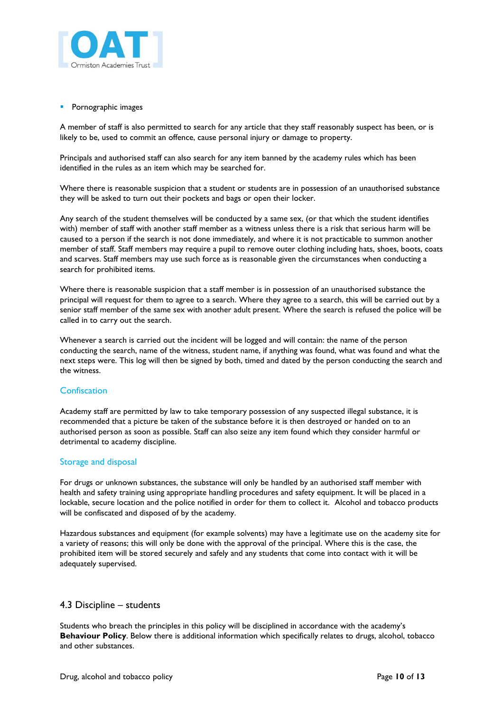

**Pornographic images** 

A member of staff is also permitted to search for any article that they staff reasonably suspect has been, or is likely to be, used to commit an offence, cause personal injury or damage to property.

Principals and authorised staff can also search for any item banned by the academy rules which has been identified in the rules as an item which may be searched for.

Where there is reasonable suspicion that a student or students are in possession of an unauthorised substance they will be asked to turn out their pockets and bags or open their locker.

Any search of the student themselves will be conducted by a same sex, (or that which the student identifies with) member of staff with another staff member as a witness unless there is a risk that serious harm will be caused to a person if the search is not done immediately, and where it is not practicable to summon another member of staff. Staff members may require a pupil to remove outer clothing including hats, shoes, boots, coats and scarves. Staff members may use such force as is reasonable given the circumstances when conducting a search for prohibited items.

Where there is reasonable suspicion that a staff member is in possession of an unauthorised substance the principal will request for them to agree to a search. Where they agree to a search, this will be carried out by a senior staff member of the same sex with another adult present. Where the search is refused the police will be called in to carry out the search.

Whenever a search is carried out the incident will be logged and will contain: the name of the person conducting the search, name of the witness, student name, if anything was found, what was found and what the next steps were. This log will then be signed by both, timed and dated by the person conducting the search and the witness.

#### **Confiscation**

Academy staff are permitted by law to take temporary possession of any suspected illegal substance, it is recommended that a picture be taken of the substance before it is then destroyed or handed on to an authorised person as soon as possible. Staff can also seize any item found which they consider harmful or detrimental to academy discipline.

#### Storage and disposal

For drugs or unknown substances, the substance will only be handled by an authorised staff member with health and safety training using appropriate handling procedures and safety equipment. It will be placed in a lockable, secure location and the police notified in order for them to collect it. Alcohol and tobacco products will be confiscated and disposed of by the academy.

Hazardous substances and equipment (for example solvents) may have a legitimate use on the academy site for a variety of reasons; this will only be done with the approval of the principal. Where this is the case, the prohibited item will be stored securely and safely and any students that come into contact with it will be adequately supervised.

#### <span id="page-9-0"></span>4.3 Discipline – students

Students who breach the principles in this policy will be disciplined in accordance with the academy's **Behaviour Policy**. Below there is additional information which specifically relates to drugs, alcohol, tobacco and other substances.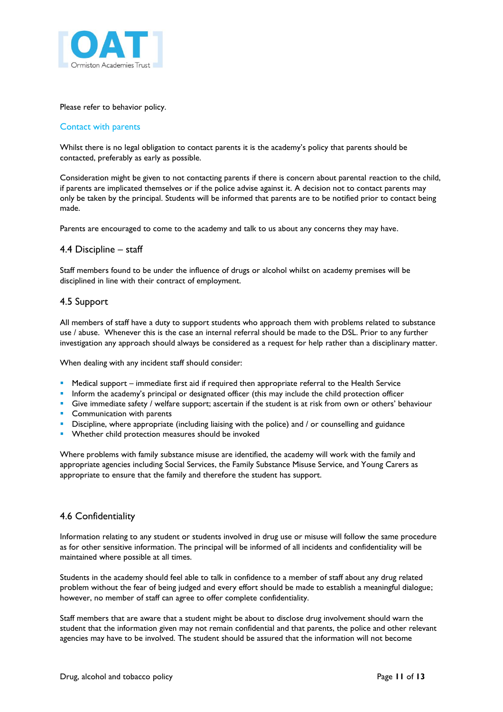

<span id="page-10-0"></span>Please refer to behavior policy.

#### Contact with parents

Whilst there is no legal obligation to contact parents it is the academy's policy that parents should be contacted, preferably as early as possible.

Consideration might be given to not contacting parents if there is concern about parental reaction to the child, if parents are implicated themselves or if the police advise against it. A decision not to contact parents may only be taken by the principal. Students will be informed that parents are to be notified prior to contact being made.

Parents are encouraged to come to the academy and talk to us about any concerns they may have.

#### 4.4 Discipline – staff

Staff members found to be under the influence of drugs or alcohol whilst on academy premises will be disciplined in line with their contract of employment.

#### <span id="page-10-1"></span>4.5 Support

All members of staff have a duty to support students who approach them with problems related to substance use / abuse. Whenever this is the case an internal referral should be made to the DSL. Prior to any further investigation any approach should always be considered as a request for help rather than a disciplinary matter.

When dealing with any incident staff should consider:

- **Medical support** immediate first aid if required then appropriate referral to the Health Service
- Inform the academy's principal or designated officer (this may include the child protection officer
- Give immediate safety / welfare support; ascertain if the student is at risk from own or others' behaviour
- **Communication with parents**
- **Discipline, where appropriate (including liaising with the police) and / or counselling and guidance**
- Whether child protection measures should be invoked

Where problems with family substance misuse are identified, the academy will work with the family and appropriate agencies including Social Services, the Family Substance Misuse Service, and Young Carers as appropriate to ensure that the family and therefore the student has support.

#### <span id="page-10-2"></span>4.6 Confidentiality

Information relating to any student or students involved in drug use or misuse will follow the same procedure as for other sensitive information. The principal will be informed of all incidents and confidentiality will be maintained where possible at all times.

Students in the academy should feel able to talk in confidence to a member of staff about any drug related problem without the fear of being judged and every effort should be made to establish a meaningful dialogue; however, no member of staff can agree to offer complete confidentiality.

Staff members that are aware that a student might be about to disclose drug involvement should warn the student that the information given may not remain confidential and that parents, the police and other relevant agencies may have to be involved. The student should be assured that the information will not become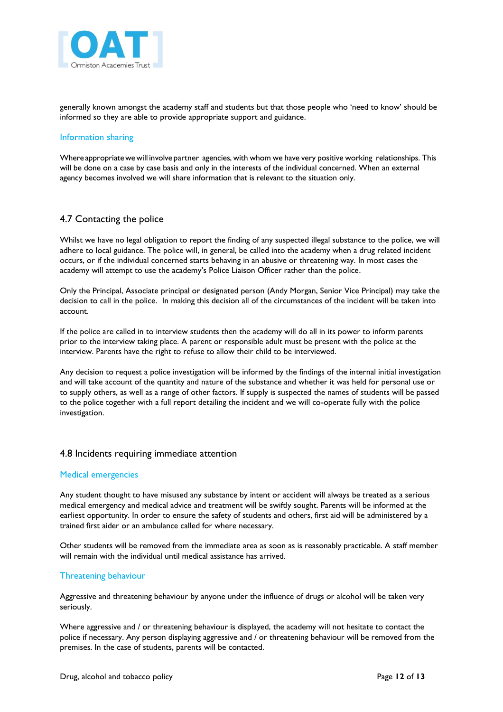

generally known amongst the academy staff and students but that those people who 'need to know' should be informed so they are able to provide appropriate support and guidance.

#### Information sharing

Where appropriatewewill involve partner agencies, with whom we have very positive working relationships. This will be done on a case by case basis and only in the interests of the individual concerned. When an external agency becomes involved we will share information that is relevant to the situation only.

#### <span id="page-11-0"></span>4.7 Contacting the police

Whilst we have no legal obligation to report the finding of any suspected illegal substance to the police, we will adhere to local guidance. The police will, in general, be called into the academy when a drug related incident occurs, or if the individual concerned starts behaving in an abusive or threatening way. In most cases the academy will attempt to use the academy's Police Liaison Officer rather than the police.

Only the Principal, Associate principal or designated person (Andy Morgan, Senior Vice Principal) may take the decision to call in the police. In making this decision all of the circumstances of the incident will be taken into account.

If the police are called in to interview students then the academy will do all in its power to inform parents prior to the interview taking place. A parent or responsible adult must be present with the police at the interview. Parents have the right to refuse to allow their child to be interviewed.

Any decision to request a police investigation will be informed by the findings of the internal initial investigation and will take account of the quantity and nature of the substance and whether it was held for personal use or to supply others, as well as a range of other factors. If supply is suspected the names of students will be passed to the police together with a full report detailing the incident and we will co-operate fully with the police investigation.

#### <span id="page-11-1"></span>4.8 Incidents requiring immediate attention

#### Medical emergencies

Any student thought to have misused any substance by intent or accident will always be treated as a serious medical emergency and medical advice and treatment will be swiftly sought. Parents will be informed at the earliest opportunity. In order to ensure the safety of students and others, first aid will be administered by a trained first aider or an ambulance called for where necessary.

Other students will be removed from the immediate area as soon as is reasonably practicable. A staff member will remain with the individual until medical assistance has arrived.

#### Threatening behaviour

Aggressive and threatening behaviour by anyone under the influence of drugs or alcohol will be taken very seriously.

Where aggressive and / or threatening behaviour is displayed, the academy will not hesitate to contact the police if necessary. Any person displaying aggressive and / or threatening behaviour will be removed from the premises. In the case of students, parents will be contacted.